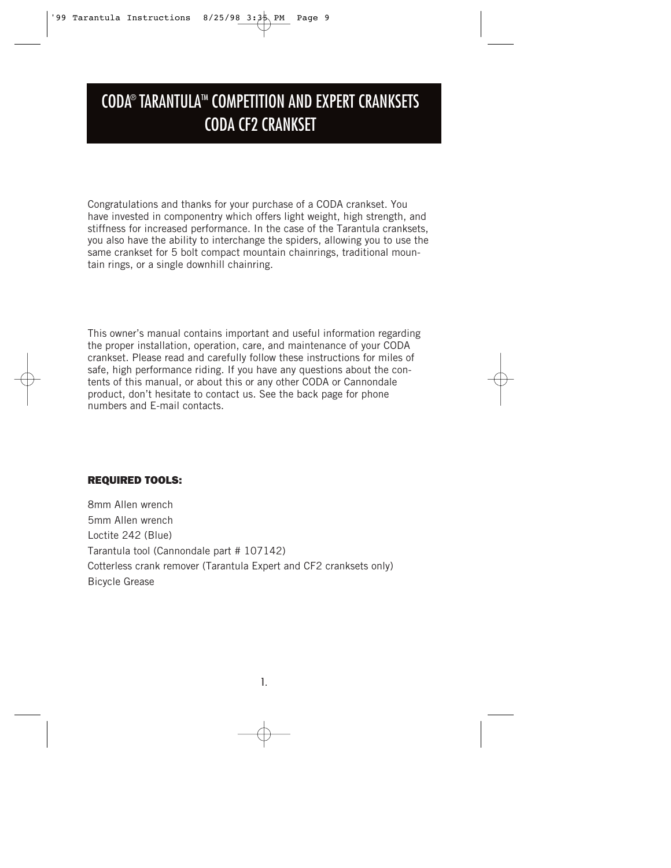# CODA<sup>®</sup> TARANTULA™ COMPETITION AND EXPERT CRANKSETS CODA CF2 CRANKSET

Congratulations and thanks for your purchase of a CODA crankset. You have invested in componentry which offers light weight, high strength, and stiffness for increased performance. In the case of the Tarantula cranksets, you also have the ability to interchange the spiders, allowing you to use the same crankset for 5 bolt compact mountain chainrings, traditional mountain rings, or a single downhill chainring.

This owner's manual contains important and useful information regarding the proper installation, operation, care, and maintenance of your CODA crankset. Please read and carefully follow these instructions for miles of safe, high performance riding. If you have any questions about the contents of this manual, or about this or any other CODA or Cannondale product, don't hesitate to contact us. See the back page for phone numbers and E-mail contacts.

### **REQUIRED TOOLS:**

8mm Allen wrench 5mm Allen wrench Loctite 242 (Blue) Tarantula tool (Cannondale part # 107142) Cotterless crank remover (Tarantula Expert and CF2 cranksets only) Bicycle Grease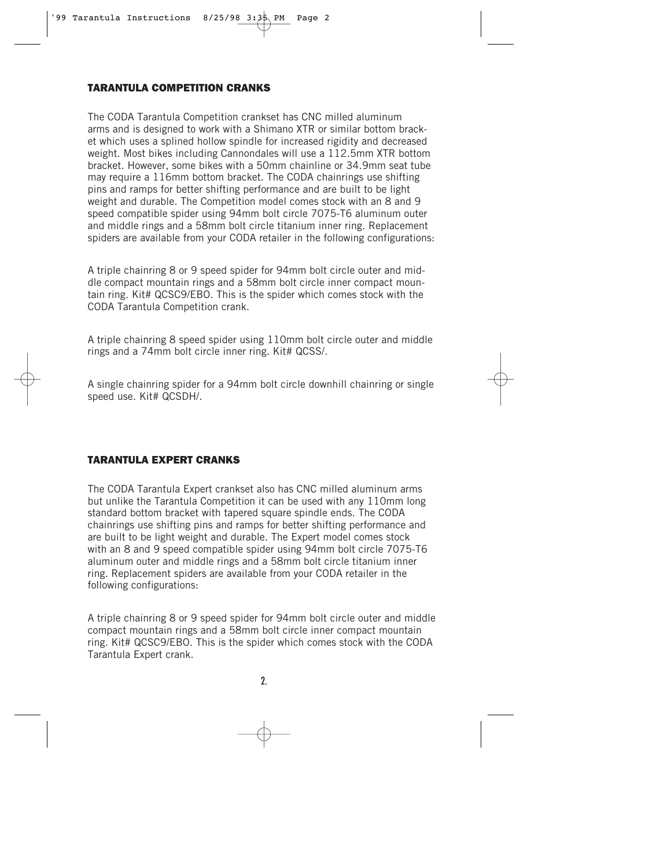#### **TARANTULA COMPETITION CRANKS**

The CODA Tarantula Competition crankset has CNC milled aluminum arms and is designed to work with a Shimano XTR or similar bottom bracket which uses a splined hollow spindle for increased rigidity and decreased weight. Most bikes including Cannondales will use a 112.5mm XTR bottom bracket. However, some bikes with a 50mm chainline or 34.9mm seat tube may require a 116mm bottom bracket. The CODA chainrings use shifting pins and ramps for better shifting performance and are built to be light weight and durable. The Competition model comes stock with an 8 and 9 speed compatible spider using 94mm bolt circle 7075-T6 aluminum outer and middle rings and a 58mm bolt circle titanium inner ring. Replacement spiders are available from your CODA retailer in the following configurations:

A triple chainring 8 or 9 speed spider for 94mm bolt circle outer and middle compact mountain rings and a 58mm bolt circle inner compact mountain ring. Kit# QCSC9/EBO. This is the spider which comes stock with the CODA Tarantula Competition crank.

A triple chainring 8 speed spider using 110mm bolt circle outer and middle rings and a 74mm bolt circle inner ring. Kit# QCSS/.

A single chainring spider for a 94mm bolt circle downhill chainring or single speed use. Kit# QCSDH/.

### **TARANTULA EXPERT CRANKS**

The CODA Tarantula Expert crankset also has CNC milled aluminum arms but unlike the Tarantula Competition it can be used with any 110mm long standard bottom bracket with tapered square spindle ends. The CODA chainrings use shifting pins and ramps for better shifting performance and are built to be light weight and durable. The Expert model comes stock with an 8 and 9 speed compatible spider using 94mm bolt circle 7075-T6 aluminum outer and middle rings and a 58mm bolt circle titanium inner ring. Replacement spiders are available from your CODA retailer in the following configurations:

A triple chainring 8 or 9 speed spider for 94mm bolt circle outer and middle compact mountain rings and a 58mm bolt circle inner compact mountain ring. Kit# QCSC9/EBO. This is the spider which comes stock with the CODA Tarantula Expert crank.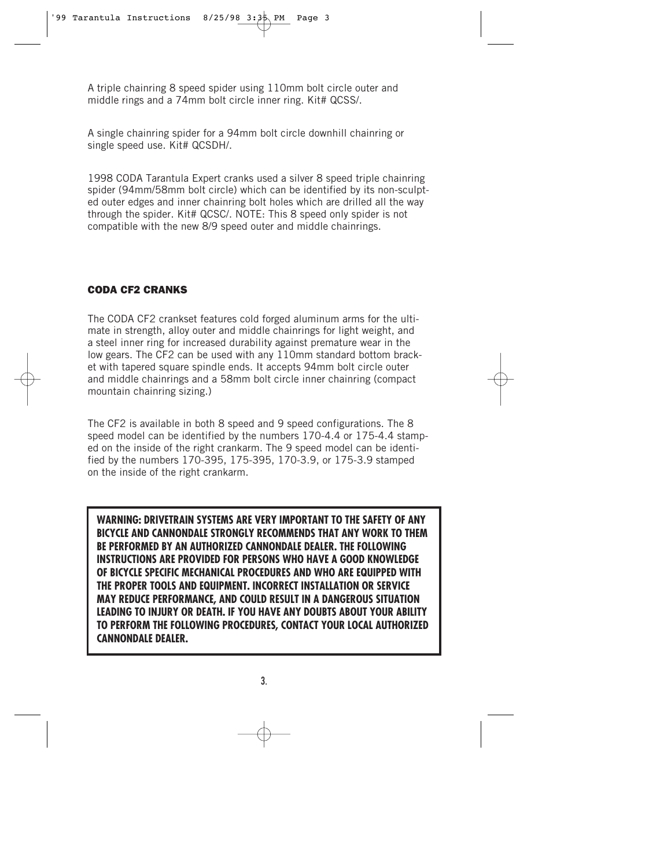A triple chainring 8 speed spider using 110mm bolt circle outer and middle rings and a 74mm bolt circle inner ring. Kit# QCSS/.

A single chainring spider for a 94mm bolt circle downhill chainring or single speed use. Kit# QCSDH/.

1998 CODA Tarantula Expert cranks used a silver 8 speed triple chainring spider (94mm/58mm bolt circle) which can be identified by its non-sculpted outer edges and inner chainring bolt holes which are drilled all the way through the spider. Kit# QCSC/. NOTE: This 8 speed only spider is not compatible with the new 8/9 speed outer and middle chainrings.

## **CODA CF2 CRANKS**

The CODA CF2 crankset features cold forged aluminum arms for the ultimate in strength, alloy outer and middle chainrings for light weight, and a steel inner ring for increased durability against premature wear in the low gears. The CF2 can be used with any 110mm standard bottom bracket with tapered square spindle ends. It accepts 94mm bolt circle outer and middle chainrings and a 58mm bolt circle inner chainring (compact mountain chainring sizing.)

The CF2 is available in both 8 speed and 9 speed configurations. The 8 speed model can be identified by the numbers 170-4.4 or 175-4.4 stamped on the inside of the right crankarm. The 9 speed model can be identified by the numbers 170-395, 175-395, 170-3.9, or 175-3.9 stamped on the inside of the right crankarm.

**WARNING: DRIVETRAIN SYSTEMS ARE VERY IMPORTANT TO THE SAFETY OF ANY BICYCLE AND CANNONDALE STRONGLY RECOMMENDS THAT ANY WORK TO THEM BE PERFORMED BY AN AUTHORIZED CANNONDALE DEALER. THE FOLLOWING INSTRUCTIONS ARE PROVIDED FOR PERSONS WHO HAVE A GOOD KNOWLEDGE OF BICYCLE SPECIFIC MECHANICAL PROCEDURES AND WHO ARE EQUIPPED WITH THE PROPER TOOLS AND EQUIPMENT. INCORRECT INSTALLATION OR SERVICE MAY REDUCE PERFORMANCE, AND COULD RESULT IN A DANGEROUS SITUATION LEADING TO INJURY OR DEATH. IF YOU HAVE ANY DOUBTS ABOUT YOUR ABILITY TO PERFORM THE FOLLOWING PROCEDURES, CONTACT YOUR LOCAL AUTHORIZED CANNONDALE DEALER.**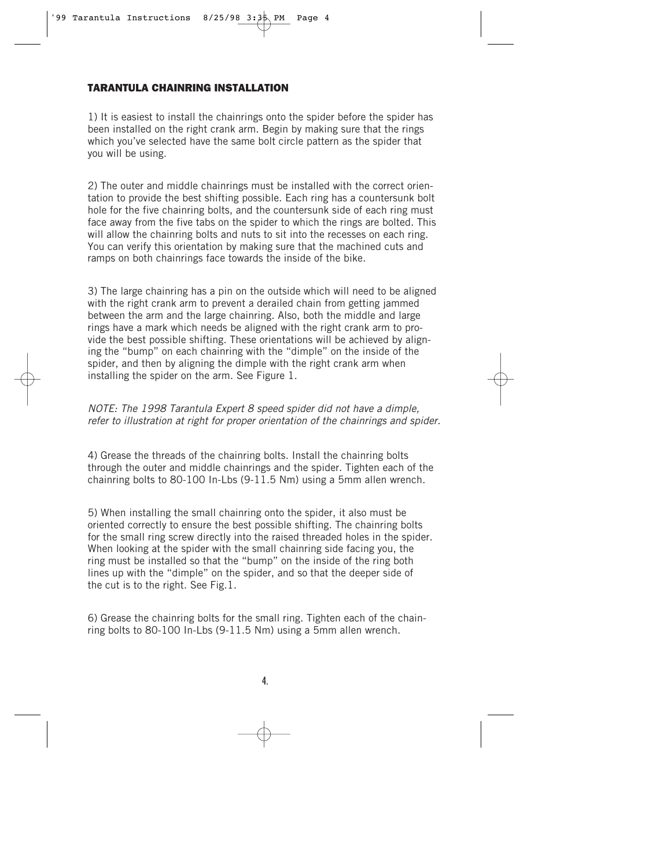#### **TARANTULA CHAINRING INSTALLATION**

1) It is easiest to install the chainrings onto the spider before the spider has been installed on the right crank arm. Begin by making sure that the rings which you've selected have the same bolt circle pattern as the spider that you will be using.

2) The outer and middle chainrings must be installed with the correct orientation to provide the best shifting possible. Each ring has a countersunk bolt hole for the five chainring bolts, and the countersunk side of each ring must face away from the five tabs on the spider to which the rings are bolted. This will allow the chainring bolts and nuts to sit into the recesses on each ring. You can verify this orientation by making sure that the machined cuts and ramps on both chainrings face towards the inside of the bike.

3) The large chainring has a pin on the outside which will need to be aligned with the right crank arm to prevent a derailed chain from getting jammed between the arm and the large chainring. Also, both the middle and large rings have a mark which needs be aligned with the right crank arm to provide the best possible shifting. These orientations will be achieved by aligning the "bump" on each chainring with the "dimple" on the inside of the spider, and then by aligning the dimple with the right crank arm when installing the spider on the arm. See Figure 1.

NOTE: The 1998 Tarantula Expert 8 speed spider did not have a dimple, refer to illustration at right for proper orientation of the chainrings and spider.

4) Grease the threads of the chainring bolts. Install the chainring bolts through the outer and middle chainrings and the spider. Tighten each of the chainring bolts to 80-100 In-Lbs (9-11.5 Nm) using a 5mm allen wrench.

5) When installing the small chainring onto the spider, it also must be oriented correctly to ensure the best possible shifting. The chainring bolts for the small ring screw directly into the raised threaded holes in the spider. When looking at the spider with the small chainring side facing you, the ring must be installed so that the "bump" on the inside of the ring both lines up with the "dimple" on the spider, and so that the deeper side of the cut is to the right. See Fig.1.

6) Grease the chainring bolts for the small ring. Tighten each of the chainring bolts to 80-100 In-Lbs (9-11.5 Nm) using a 5mm allen wrench.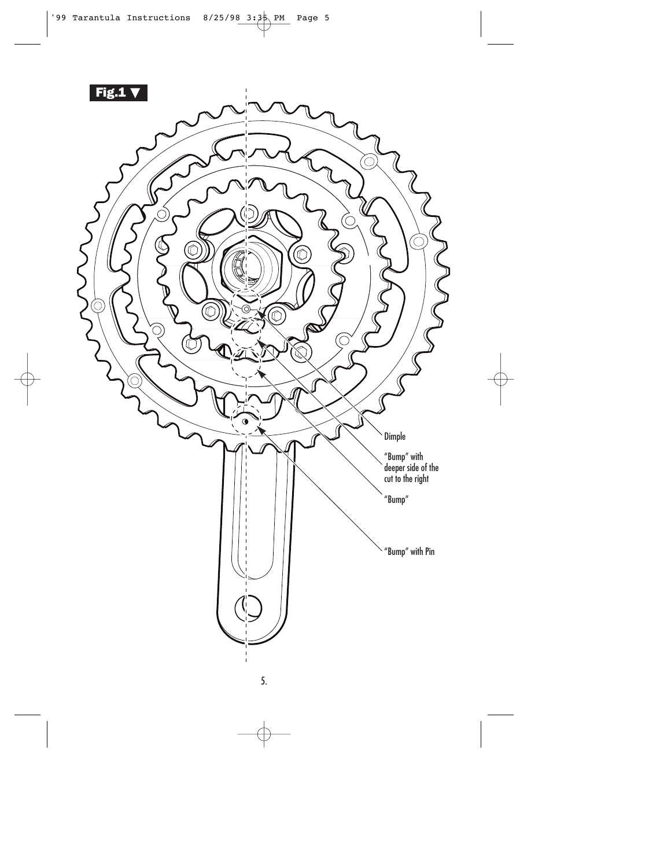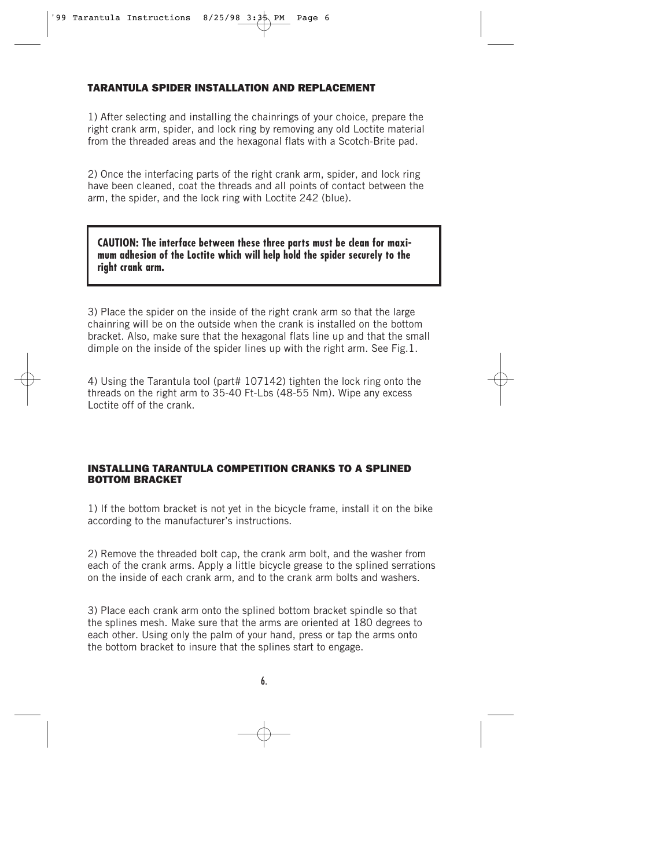#### **TARANTULA SPIDER INSTALLATION AND REPLACEMENT**

1) After selecting and installing the chainrings of your choice, prepare the right crank arm, spider, and lock ring by removing any old Loctite material from the threaded areas and the hexagonal flats with a Scotch-Brite pad.

2) Once the interfacing parts of the right crank arm, spider, and lock ring have been cleaned, coat the threads and all points of contact between the arm, the spider, and the lock ring with Loctite 242 (blue).

**CAUTION: The interface between these three parts must be clean for maximum adhesion of the Loctite which will help hold the spider securely to the right crank arm.**

3) Place the spider on the inside of the right crank arm so that the large chainring will be on the outside when the crank is installed on the bottom bracket. Also, make sure that the hexagonal flats line up and that the small dimple on the inside of the spider lines up with the right arm. See Fig.1.

4) Using the Tarantula tool (part# 107142) tighten the lock ring onto the threads on the right arm to 35-40 Ft-Lbs (48-55 Nm). Wipe any excess Loctite off of the crank.

#### **INSTALLING TARANTULA COMPETITION CRANKS TO A SPLINED BOTTOM BRACKET**

1) If the bottom bracket is not yet in the bicycle frame, install it on the bike according to the manufacturer's instructions.

2) Remove the threaded bolt cap, the crank arm bolt, and the washer from each of the crank arms. Apply a little bicycle grease to the splined serrations on the inside of each crank arm, and to the crank arm bolts and washers.

3) Place each crank arm onto the splined bottom bracket spindle so that the splines mesh. Make sure that the arms are oriented at 180 degrees to each other. Using only the palm of your hand, press or tap the arms onto the bottom bracket to insure that the splines start to engage.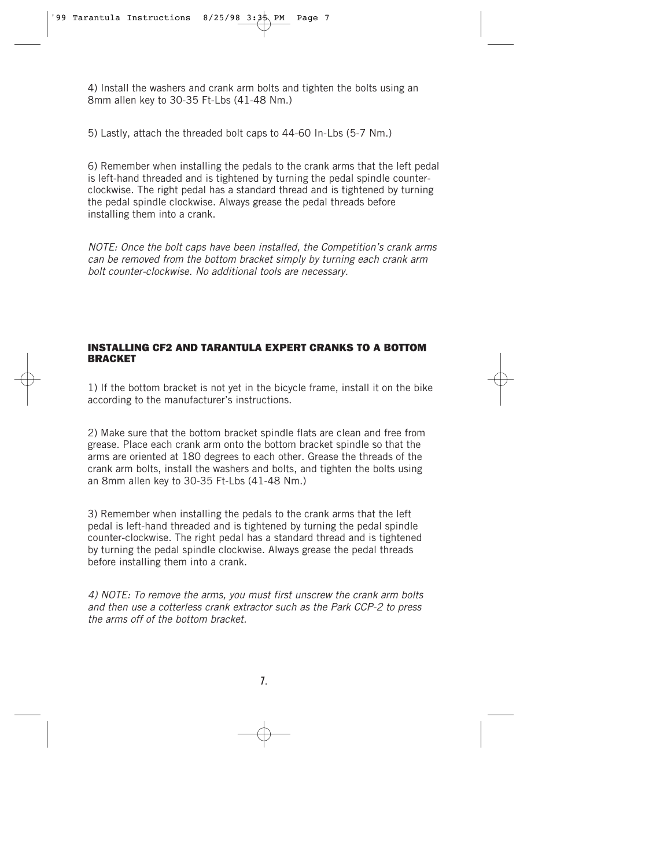4) Install the washers and crank arm bolts and tighten the bolts using an 8mm allen key to 30-35 Ft-Lbs (41-48 Nm.)

5) Lastly, attach the threaded bolt caps to 44-60 In-Lbs (5-7 Nm.)

6) Remember when installing the pedals to the crank arms that the left pedal is left-hand threaded and is tightened by turning the pedal spindle counterclockwise. The right pedal has a standard thread and is tightened by turning the pedal spindle clockwise. Always grease the pedal threads before installing them into a crank.

NOTE: Once the bolt caps have been installed, the Competition's crank arms can be removed from the bottom bracket simply by turning each crank arm bolt counter-clockwise. No additional tools are necessary.

## **INSTALLING CF2 AND TARANTULA EXPERT CRANKS TO A BOTTOM BRACKET**

1) If the bottom bracket is not yet in the bicycle frame, install it on the bike according to the manufacturer's instructions.

2) Make sure that the bottom bracket spindle flats are clean and free from grease. Place each crank arm onto the bottom bracket spindle so that the arms are oriented at 180 degrees to each other. Grease the threads of the crank arm bolts, install the washers and bolts, and tighten the bolts using an 8mm allen key to 30-35 Ft-Lbs (41-48 Nm.)

3) Remember when installing the pedals to the crank arms that the left pedal is left-hand threaded and is tightened by turning the pedal spindle counter-clockwise. The right pedal has a standard thread and is tightened by turning the pedal spindle clockwise. Always grease the pedal threads before installing them into a crank.

4) NOTE: To remove the arms, you must first unscrew the crank arm bolts and then use a cotterless crank extractor such as the Park CCP-2 to press the arms off of the bottom bracket.